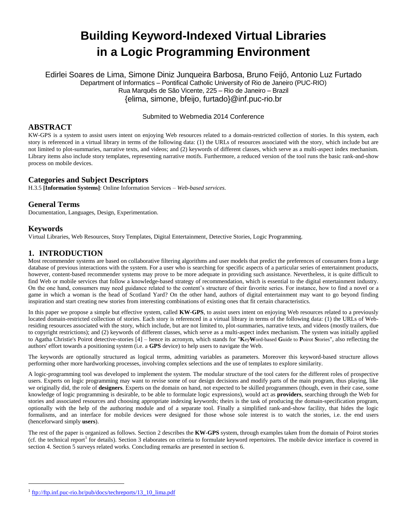# **Building Keyword-Indexed Virtual Libraries in a Logic Programming Environment**

Edirlei Soares de Lima, Simone Diniz Junqueira Barbosa, Bruno Feijó, Antonio Luz Furtado Department of Informatics – Pontifical Catholic University of Rio de Janeiro (PUC-RIO) Rua Marquês de São Vicente, 225 – Rio de Janeiro – Brazil {elima, simone, bfeijo, furtado}@inf.puc-rio.br

## Submited to Webmedia 2014 Conference

## **ABSTRACT**

KW-GPS is a system to assist users intent on enjoying Web resources related to a domain-restricted collection of stories. In this system, each story is referenced in a virtual library in terms of the following data: (1) the URLs of resources associated with the story, which include but are not limited to plot-summaries, narrative texts, and videos; and (2) keywords of different classes, which serve as a multi-aspect index mechanism. Library items also include story templates, representing narrative motifs. Furthermore, a reduced version of the tool runs the basic rank-and-show process on mobile devices.

## **Categories and Subject Descriptors**

H.3.5 **[Information Systems]**: Online Information Services – *Web-based services.* 

# **General Terms**

Documentation, Languages, Design, Experimentation.

# **Keywords**

 $\overline{a}$ 

Virtual Libraries, Web Resources, Story Templates, Digital Entertainment, Detective Stories, Logic Programming.

# **1. INTRODUCTION**

Most recommender systems are based on collaborative filtering algorithms and user models that predict the preferences of consumers from a large database of previous interactions with the system. For a user who is searching for specific aspects of a particular series of entertainment products, however, content-based recommender systems may prove to be more adequate in providing such assistance. Nevertheless, it is quite difficult to find Web or mobile services that follow a knowledge-based strategy of recommendation, which is essential to the digital entertainment industry. On the one hand, consumers may need guidance related to the content's structure of their favorite series. For instance, how to find a novel or a game in which a woman is the head of Scotland Yard? On the other hand, authors of digital entertainment may want to go beyond finding inspiration and start creating new stories from interesting combinations of existing ones that fit certain characteristics.

In this paper we propose a simple but effective system, called **KW-GPS**, to assist users intent on enjoying Web resources related to a previously located domain-restricted collection of stories. Each story is referenced in a virtual library in terms of the following data: (1) the URLs of Webresiding resources associated with the story, which include, but are not limited to, plot-summaries, narrative texts, and videos (mostly trailers, due to copyright restrictions); and (2) keywords of different classes, which serve as a multi-aspect index mechanism. The system was initially applied to Agatha Christie's Poirot detective-stories [\[4\]](#page-9-0) – hence its acronym, which stands for "**K**ey**W**ord-based **G**uide to **P**oirot **S**tories", also reflecting the authors' effort towards a positioning system (i.e. a **GPS** device) to help users to navigate the Web.

The keywords are optionally structured as logical terms, admitting variables as parameters. Moreover this keyword-based structure allows performing other more hardworking processes, involving complex selections and the use of templates to explore similarity.

A logic-programming tool was developed to implement the system. The modular structure of the tool caters for the different roles of prospective users. Experts on logic programming may want to revise some of our design decisions and modify parts of the main program, thus playing, like we originally did, the role of **designers**. Experts on the domain on hand, not expected to be skilled programmers (though, even in their case, some knowledge of logic programming is desirable, to be able to formulate logic expressions), would act as **providers**, searching through the Web for stories and associated resources and choosing appropriate indexing keywords; theirs is the task of producing the domain-specification program, optionally with the help of the authoring module and of a separate tool. Finally a simplified rank-and-show facility, that hides the logic formalisms, and an interface for mobile devices were designed for those whose sole interest is to watch the stories, i.e. the end users (henceforward simply **users**).

The rest of the paper is organized as follows. Section 2 describes the **KW-GPS** system, through examples taken from the domain of Poirot stories (cf. the technical report<sup>1</sup> for details). Section 3 elaborates on criteria to formulate keyword repertoires. The mobile device interface is covered in section 4. Section 5 surveys related works. Concluding remarks are presented in section 6.

<sup>&</sup>lt;sup>1</sup> [ftp://ftp.inf.puc-rio.br/pub/docs/techreports/13\\_10\\_lima.pdf](ftp://ftp.inf.puc-rio.br/pub/docs/techreports/13_10_lima.pdf)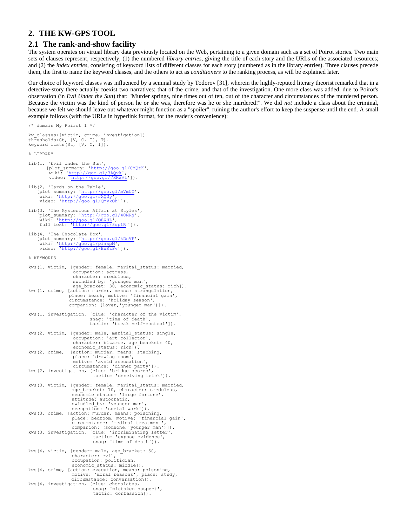# **2. THE KW-GPS TOOL**

## **2.1 The rank-and-show facility**

The system operates on virtual library data previously located on the Web, pertaining to a given domain such as a set of Poirot stories. Two main sets of clauses represent, respectively, (1) the numbered *library entries*, giving the title of each story and the URLs of the associated resources; and (2) the *index entries*, consisting of keyword lists of different classes for each story (numbered as in the library entries). Three clauses precede them, the first to name the keyword classes, and the others to act as *conditioners* to the ranking process, as will be explained later.

Our choice of keyword classes was influenced by a seminal study by Todoro[v \[31\],](#page-10-0) wherein the highly-reputed literary theorist remarked that in a detective-story there actually coexist two narratives: that of the crime, and that of the investigation. One more class was added, due to Poirot's observation (in *Evil Under the Sun*) that: "Murder springs, nine times out of ten, out of the character and circumstances of the murdered person. Because the victim was the kind of person he or she was, therefore was he or she murdered!". We did *not* include a class about the criminal, because we felt we should leave out whatever might function as a "spoiler", ruining the author's effort to keep the suspense until the end. A small example follows (with the URLs in hyperlink format, for the reader's convenience):

```
/* domain My Poirot 1 */
kw_classes([victim, crime, investigation]).
thresholds(St, [V, C, I], T).
keyword_lists(St, [V, C, I]).
% LIBRARY
lib(1, 'Evil Under the Sun',
     'http://goo.gl/CMQtK''http://goo.gl/3AQvk''http://goo.gl/7RKxV1']).
lib(2, 'Cards on the Table',
'http://goo.gl/QmykOh']).
lib(3, 'The Mysterious Affair at Styles',
'http://goo.gl/40MRg''http://goo.gl/OEWHL''http://goo.gl/3qp1R']).
lib(4, 'The Chocolate Box', 
'http://goo.gl/kDnVF''http://goo.gl/piaspM''http://goo.gl/BxRzPv']).
% KEYWORDS
kws(1, victim, [gender: female, marital status: married,
                       occupation: actress, 
                      character: credulous, 
swindled_by: 'younger man',<br>age bracket: 30, economic status: rich]).
kws(1, crime, [action: murder, means: strangulation, 
 place: beach, motive: 'financial gain', 
 circumstance: 'holiday season', 
                     companion: (lover, 'younger man')]).
kws(1, investigation, [clue: 'character of the victim', 
 snag: 'time of death', 
                               tactic: 'break self-control']).
kws(2, victim, [gender: male, marital_status: single, 
 occupation: 'art collector', 
                      character: bizarre, age bracket: 40,
                       economic status: rich]).
kws(2, crime, [action: murder, means: stabbing, 
 place: 'drawing room', 
motive: 'avoid accusation',
circumstance: 'dinner party']).
kws(2, investigation, [clue: 'bridge scores', 
                                  tactic: 'deceiving trick']).
kws(3, victim, [gender: female, marital_status: married,
 age_bracket: 70, character: credulous, 
 economic_status: 'large fortune', 
                       attitude: autocratic, 
             swindled_by: 'younger man', 
 occupation: 'social work']).
kws(3, crime, [action: murder, means: poisoning,<br>place: bedroom, motive: 'financial gain',
             place: bedroom, motive: 'financial gain', 
 circumstance: 'medical treatment',
 companion: (someone,'younger man')]).
kws(3, investigation, [clue: 'incriminating letter',
                          tactic: 'expose evidence', 
 snag: 'time of death']).

kws(4, victim, [gender: male, age_bracket: 30, 
 character: evil, 
                       occupation: politician, 
                       economic_status: middle]).
kws(4, crime, [action: execution, means: poisoning, 
                      motive: 'moral reasons', place: study,
                      circumstance: conversation]).
kws(4, investigation, [clue: chocolates, 
 snag: 'mistaken suspect', 
                                  tactic: confession]).
```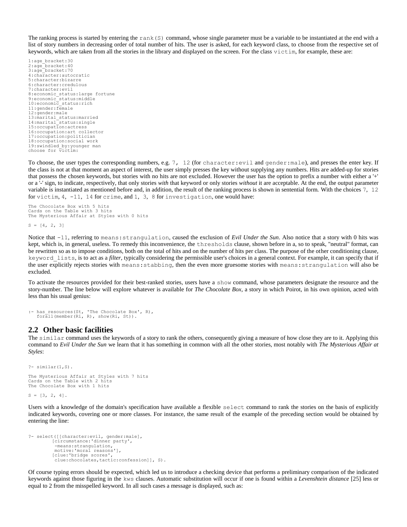The ranking process is started by entering the rank(S) command, whose single parameter must be a variable to be instantiated at the end with a list of story numbers in decreasing order of total number of hits. The user is asked, for each keyword class, to choose from the respective set of keywords, which are taken from all the stories in the library and displayed on the screen. For the class victim, for example, these are:

```
1:age_bracket:30
2:age_bracket:40
3:age_bracket:70
4:character:autocratic
5:character:bizarre
6:character:credulous
7:character:evil
8:economic_status:large fortune
9:economic_status:middle
10:economic_status:rich
11:gender:female
12:gender:male
13:marital_status:married
14:marital_status:single
15:occupation:actress
16:occupation:art collector
17:occupation:politician
18:occupation:social work
19:swindled_by:younger man
choose for victim:
```
To choose, the user types the corresponding numbers, e.g. 7, 12 (for character:evil and gender:male), and presses the enter key. If the class is not at that moment an aspect of interest, the user simply presses the key without supplying any numbers. Hits are added-up for stories that possess the chosen keywords, but stories with no hits are not excluded. However the user has the option to prefix a number with either a '+' or a '-' sign, to indicate, respectively, that only stories *with* that keyword or only stories *without* it are acceptable. At the end, the output parameter variable is instantiated as mentioned before and, in addition, the result of the ranking process is shown in sentential form. With the choices 7, 12 for victim, 4, -11, 14 for crime, and 1, 3, 8 for investigation, one would have:

```
The Chocolate Box with 5 hits
Cards on the Table with 3 hits
The Mysterious Affair at Styles with 0 hits
```
 $S = [4, 2, 3]$ 

Notice that -11, referring to means:strangulation, caused the exclusion of *Evil Under the Sun*. Also notice that a story with 0 hits was kept, which is, in general, useless. To remedy this inconvenience, the thresholds clause, shown before in a, so to speak, "neutral" format, can be rewritten so as to impose conditions, both on the total of hits and on the number of hits per class. The purpose of the other conditioning clause, keyword\_lists, is to act as a *filter*, typically considering the permissible user's choices in a general context. For example, it can specify that if the user explicitly rejects stories with means:stabbing, then the even more gruesome stories with means:strangulation will also be excluded.

To activate the resources provided for their best-ranked stories, users have a show command, whose parameters designate the resource and the story-number. The line below will explore whatever is available for *The Chocolate Box*, a story in which Poirot, in his own opinion, acted with less than his usual genius:

```
:- has resources(St, 'The Chocolate Box', R),
  forall(member(Ri, R), show(Ri, St)).
```
### **2.2 Other basic facilities**

The similar command uses the keywords of a story to rank the others, consequently giving a measure of how close they are to it. Applying this command to *Evil Under the Sun* we learn that it has something in common with all the other stories, most notably with *The Mysterious Affair at Styles*:

```
?- similar(1,S).
The Mysterious Affair at Styles with 7 hits
Cards on the Table with 2 hits
The Chocolate Box with 1 hits
```
 $S = [3, 2, 4]$ .

Users with a knowledge of the domain's specification have available a flexible select command to rank the stories on the basis of explicitly indicated keywords, covering one or more classes. For instance, the same result of the example of the preceding section would be obtained by entering the line:

```
?- select([[character:evil, gender:male],
        [circumstance: 'dinner party',
          -means:strangulation, 
          motive:'moral reasons'], 
          [clue:'bridge scores',
          clue:chocolates,tactic:confession]], S).
```
Of course typing errors should be expected, which led us to introduce a checking device that performs a preliminary comparison of the indicated keywords against those figuring in the kws clauses. Automatic substitution will occur if one is found within a *Levenshtein distance* [\[25\]](#page-10-1) less or equal to 2 from the misspelled keyword. In all such cases a message is displayed, such as: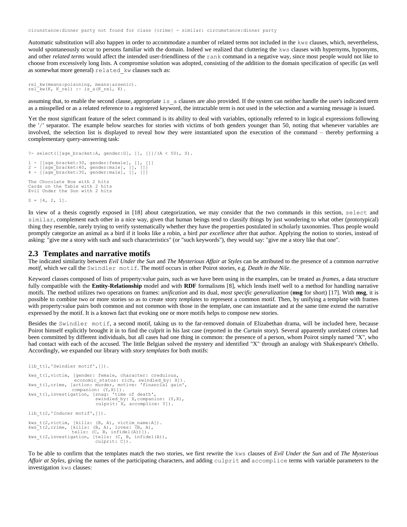Automatic substitution will also happen in order to accommodate a number of related terms not included in the kws clauses, which, nevertheless, would spontaneously occur to persons familiar with the domain. Indeed we realized that cluttering the kws clauses with hypernyms, hyponyms, and other *related terms* would affect the intended user-friendliness of the rank command in a negative way, since most people would not like to choose from excessively long lists. A compromise solution was adopted, consisting of the addition to the domain specification of specific (as well as somewhat more general) related kw clauses such as:

```
rel_kw(means:poisoning, means:arsenic).
rel_K(W, K_{rel}) := is_a(K_{rel}, K).
```
assuming that, to enable the second clause, appropriate is a clauses are also provided. If the system can neither handle the user's indicated term as a misspelled or as a related reference to a registered keyword, the intractable term is not used in the selection and a warning message is issued.

Yet the most significant feature of the select command is its ability to deal with variables, optionally referred to in logical expressions following the '/' separator. The example below searches for stories with victims of both genders younger than 50, noting that whenever variables are involved, the selection list is displayed to reveal how they were instantiated upon the execution of the command – thereby performing a complementary query-answering task:

```
?- select([[age_bracket:A, gender:G], [], []]/(A < 50), S).
1 - [[age_bracket:30, gender:female], [], []]
2 - [[age_bracket:40, gender:male], [], []]
4 - [[age_bracket:30, gender:male], [], []]
The Chocolate Box with 2 hits
Cards on the Table with 2 hits
Evil Under the Sun with 2 hits
S = [4, 2, 1].
```
In view of a thesis cogently exposed in [\[18\]](#page-10-2) about categorization, we may consider that the two commands in this section, select and similar, complement each other in a nice way, given that human beings tend to classify things by just wondering to what other (prototypical) thing they resemble, rarely trying to verify systematically whether they have the properties postulated in scholarly taxonomies. Thus people would promptly categorize an animal as a bird if it looks like a robin, a bird *par excellence* after that author. Applying the notion to stories, instead of asking: "give me a story with such and such characteristics" (or "such keywords"), they would say: "give me a story like that one".

#### **2.3 Templates and narrative motifs**

The indicated similarity between *Evil Under the Sun* and *The Mysterious Affair at Styles* can be attributed to the presence of a common *narrative motif*, which we call the Swindler motif. The motif occurs in other Poirot stories, e.g. *Death in the Nile*.

Keyword classes composed of lists of property:value pairs, such as we have been using in the examples, can be treated as *frames*, a data structure fully compatible with the **Entity-Relationship** model and with **RDF** formalisms [\[8\],](#page-9-1) which lends itself well to a method for handling narrative motifs. The method utilizes two operations on frames: *unification* and its dual, *most specific generalization* (**msg** for short) [\[17\].](#page-9-2) With **msg**, it is possible to combine two or more stories so as to create story *templates* to represent a common motif. Then, by unifying a template with frames with property:value pairs both common and not common with those in the template, one can instantiate and at the same time extend the narrative expressed by the motif. It is a known fact that evoking one or more motifs helps to compose new stories.

Besides the Swindler motif, a second motif, taking us to the far-removed domain of Elizabethan drama, will be included here, because Poirot himself explicitly brought it in to find the culprit in his last case (reported in the *Curtain* story). Several apparently unrelated crimes had been committed by different individuals, but all cases had one thing in common: the presence of a person, whom Poirot simply named "X", who had contact with each of the accused. The little Belgian solved the mystery and identified "X" through an analogy with Shakespeare's *Othello*. Accordingly, we expanded our library with *story templates* for both motifs:

```
lib_t(1,'Swindler motif',[]).
```

```
kws t(1, victim, [gender: female, character: credulous,
<sup>-</sup> economic_status: rich, swindled_by: X]).<br>kws_t(1,crime, [action: murder, motive: 'financial gain',
- companion: (Y,X)]).<br>
kws_t(1,investigation, [snag: 'time of death',<br>
swindled_by: X,companion: (Y,X),<br>
culprit: X, accomplice: Y]).
lib t(2, 'Inducer motif', []).kws_t(2,victim, [kills: (B, A), victim_name:A]).<br>kws_t(2,crime, [kills: (B, A), loves: (B, A),<br>tells: (C, B, infidel(A))]).
kws_t(2,investigation, [tells: (C, B, infidel(A)), 
 culprit: C]).
```
To be able to confirm that the templates match the two stories, we first rewrite the kws clauses of *Evil Under the Sun* and of *The Mysterious Affair at Styles*, giving the names of the participating characters, and adding culprit and accomplice terms with variable parameters to the investigation kws clauses: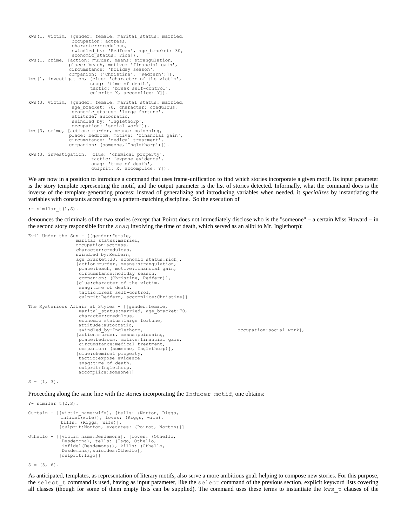```
kws(1, victim, [gender: female, marital_status: married,
                         occupation: actress, 
                        character:credulous, 
                       swindled_by: 'Redfern', age_bracket: 30, economic_status: rich]).
economic_status: rich]).<br>
kws(1, crime, [action: murder, means: strangulation,<br>
place: beach, motive: 'financial gain',<br>
circumstance: 'holiday season',<br>
companion: ('Christine', 'Redfern')]).<br>
kws(1, investigation, [clue:
                                  culprit: X, accomplice: Y]).
kws(3, victim, [gender: female, marital status: married,
              age_bracket: 70, character: credulous, 
 economic_status: 'large fortune', 
                        attitude: autocratic, 
              swindled_by: 'Inglethorp', 
 occupation: 'social work']).
kws(3, crime, [action: murder, means: poisoning, 
 place: bedroom, motive: 'financial gain', 
                       circumstance: 'medical treatment', 
                      companion: (someone, 'Inglethorp')]).
kws(3, investigation, [clue: 'chemical property
              tactic: 'expose evidence', 
 snag: 'time of death', 
                                   culprit: X, accomplice: Y]).
```
We are now in a position to introduce a command that uses frame-unification to find which stories incorporate a given motif. Its input parameter is the story template representing the motif, and the output parameter is the list of stories detected. Informally, what the command does is the inverse of the template-generating process: instead of generalizing and introducing variables when needed, it *specializes* by instantiating the variables with constants according to a pattern-matching discipline. So the execution of

 $:-$  similar  $t(1,S)$ .

denounces the criminals of the two stories (except that Poirot does not immediately disclose who is the "someone" – a certain Miss Howard – in the second story responsible for the snag involving the time of death, which served as an alibi to Mr. Inglethorp):

```
Evil Under the Sun - [[gender:female,
                  marital_status:married,
                    occupation:actress,
                   character:credulous,
                   swindled by:Redfern,
                   age_bracket:30, economic_status:rich], 
                   [action:murder, means:strangulation, 
place:beach, motive:financial gain, 
                    circumstance:holiday season, 
                    companion: (Christine, Redfern)], 
                   [clue:character of the victim, 
                    snag:time of death,
                    tactic:break self-control, 
                    culprit:Redfern, accomplice:Christine]]
The Mysterious Affair at Styles - [[gender:female, 
                    marital status: married, age bracket:70,
                    character: credulous,
economic_status:large fortune, 
 attitude:autocratic, 
                    swindled_by:Inglethorp, occupation:social work],
                   [action:murder, means:poisoning, 
place:bedroom, motive:financial gain, 
                    circumstance:medical treatment, 
                   companion: (someone, Inglethorp)], 
[clue:chemical property,
                     tactic:expose evidence,
                    snag:time of death, 
culprit:Inglethorp,
 accomplice:someone]]
```
 $S = [1, 3]$ .

?- similar  $t(2,S)$ .

Proceeding along the same line with the stories incorporating the Inducer motif, one obtains:

```
Curtain - [[victim_name:wife], [tells: (Norton, Riggs,
             infidel(wife)), loves: (Riggs, wife), 
 kills: (Riggs, wife)], 
               [culprit:Norton, executes: (Poirot, Norton)]]
Othello - [[victim_name:Desdemona], [loves: (Othello, 
 Desdemona), tells: (Iago, Othello, 
               infidel(Desdemona)), kills: (Othello,
Desdemona),suicides:Othello],<br>[culprit:Iago]]
S = [5, 6].
```
As anticipated, templates, as representation of literary motifs, also serve a more ambitious goal: helping to compose new stories. For this purpose, the select t command is used, having as input parameter, like the select command of the previous section, explicit keyword lists covering all classes (though for some of them empty lists can be supplied). The command uses these terms to instantiate the kws\_t clauses of the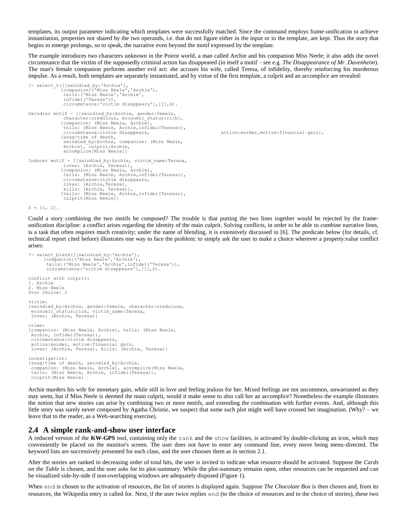templates, its output parameter indicating which templates were successfully matched. Since the command employs frame-unification to achieve instantiation, properties not shared by the two operands, i.e. that do not figure either in the input or in the template, are kept. Thus the story that begins to emerge prolongs, so to speak, the narrative even beyond the motif expressed by the template.

The example introduces two characters unknown in the Poirot world, a man called Archie and his companion Miss Neele; it also adds the novel circumstance that the victim of the supposedly criminal action has disappeared (in itself a motif – see e.g. *The Disappearance of Mr. Davenheim*). The man's female companion performs another evil act: she accuses his wife, called Teresa, of infidelity, thereby reinforcing his murderous impulse. As a result, both templates are separately instantiated, and by virtue of the first template, a culprit and an accomplice are revealed:

```
?- select_t([[swindled_by:'Archie'], 
 [companion:('Miss Neele','Archie'), 
               tells:('Miss Neele','Archie',
               infidel('Teresa')), 
               circumstance:'victim disappears'],[]],S).
Swindler motif - [[swindled_by:Archie, gender:female,
 character:credulous, economic_status:rich], 
 [companion: (Miss Neele, Archie), 
               tells: (Miss Neele, Archie,infidel(Teresa)), 
               circumstance:victim disappears, action:murder,motive:financial gain], 
             [snag:time of death,
              swindled by: Archie, companion: (Miss Neele,
           Archie), culprit:Archie, 
 accomplice:Miss Neele]]
Inducer motif - [[swindled_by:Archie, victim_name:Teresa, 
               loves: (Archie, Teresa)], 
              [companion: (Miss Neele, Archie), 
               tells: (Miss Neele, Archie,infidel(Teresa)), 
               circumstance:victim disappears, 
              loves: (Archie, Teresa),
               kills: (Archie, Teresa)], 
           [tells: (Miss Neele, Archie,infidel(Teresa)), 
 culprit:Miss Neele]]
S = [1, 2].
```
Could a story combining the two motifs be composed? The trouble is that putting the two lines together would be rejected by the frame-

unification discipline: a conflict arises regarding the identity of the main culprit. Solving conflicts, in order to be able to combine narrative lines, is a task that often requires much creativity; under the name of blending, it is extensively discussed in [\[6\].](#page-9-3) The predicate below (for details, cf. technical report cited before) illustrates one way to face the problem: to simply ask the user to make a choice wherever a property:value conflict arises:

```
?- select_blend([[swindled_by:'Archie'], 
 [companion:('Miss Neele','Archie'), 
 tells:('Miss Neele','Archie',infidel('Teresa')), 
        circumstance:'victim disappears'],[]],S).
conflict with culprit:
1. Archie
  . Miss Neele
Your choice: 2
victim:
[swindled by:Archie, gender:female, character:credulous,
 economic_status:rich, victim_name:Teresa, 
 loves: (Archie, Teresa)]
crime:
[companion: (Miss Neele, Archie), tells: (Miss Neele,
 Archie, infidel(Teresa)), 
 circumstance:victim disappears, 
 action:murder, motive:financial gain, 
 loves: (Archie, Teresa), kills: (Archie, Teresa)]
investigation:
[snag:time of death, swindled_by:Archie, 
 companion: (Miss Neele, Archie), accomplice:Miss Neele, 
 tells: (Miss Neele, Archie, infidel(Teresa)), 
culprit:Miss Neele]
```
Archie murders his wife for monetary gain, while still in love and feeling jealous for her. Mixed feelings are not uncommon, unwarranted as they may seem, but if Miss Neele is deemed the main culprit, would it make sense to also call her an accomplice? Nonetheless the example illustrates the notion that new stories can arise by combining two or more motifs, and extending the combination with further events. And, although this little story was surely never composed by Agatha Christie, we suspect that some such plot might well have crossed her imagination. (Why? – we leave that to the reader, as a Web-searching exercise).

#### **2.4 A simple rank-and-show user interface**

A reduced version of the **KW-GPS** tool, containing only the rank and the show facilities, is activated by double-clicking an icon, which may conveniently be placed on the monitor's screen. The user does not have to enter any command line, every move being menu-directed. The keyword lists are successively presented for each class, and the user chooses them as in section 2.1.

After the stories are ranked in decreasing order of total hits, the user is invited to indicate what resource should be activated. Suppose the *Cards on the Table* is chosen, and the user asks for its plot-summary. While the plot-summary remains open, other resources can be requested and can be visualized side-by-side if non-overlapping windows are adequately disposed (Figure 1).

When end is chosen to the activation of resources, the list of stories is displayed again. Suppose *The Chocolate Box* is then chosen and, from its resources, the Wikipedia entry is called for. Next, if the user twice replies end (to the choice of resources and to the choice of stories), these two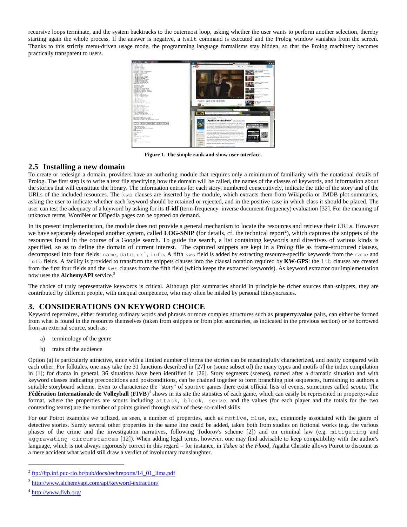recursive loops terminate, and the system backtracks to the outermost loop, asking whether the user wants to perform another selection, thereby starting again the whole process. If the answer is negative, a halt command is executed and the Prolog window vanishes from the screen. Thanks to this strictly menu-driven usage mode, the programming language formalisms stay hidden, so that the Prolog machinery becomes practically transparent to users.



**Figure 1. The simple rank-and-show user interface.**

## **2.5 Installing a new domain**

To create or redesign a domain, providers have an authoring module that requires only a minimum of familiarity with the notational details of Prolog. The first step is to write a text file specifying how the domain will be called, the names of the classes of keywords, and information about the stories that will constitute the library. The information entries for each story, numbered consecutively, indicate the title of the story and of the URLs of the included resources. The kws clauses are inserted by the module, which extracts them from Wikipedia or IMDB plot summaries, asking the user to indicate whether each keyword should be retained or rejected, and in the positive case in which class it should be placed. The user can test the adequacy of a keyword by asking for its **tf-idf** (term-frequency–inverse document-frequency) evaluation [\[32\].](#page-10-3) For the meaning of unknown terms, WordNet or DBpedia pages can be opened on demand.

In its present implementation, the module does not provide a general mechanism to locate the resources and retrieve their URLs. However we have separately developed another system, called **LOG-SNIP (**for details, cf. the technical report**<sup>2</sup>** ), which captures the snippets of the resources found in the course of a Google search. To guide the search, a list containing keywords and directives of various kinds is specified, so as to define the domain of current interest. The captured snippets are kept in a Prolog file as frame-structured clauses, decomposed into four fields: name, date, url, info. A fifth kws field is added by extracting resource-specific keywords from the name and info fields. A facility is provided to transform the snippets clauses into the clausal notation required by **KW-GPS**: the lib clauses are created from the first four fields and the kws clauses from the fifth field (which keeps the extracted keywords). As keyword extractor our implementation now uses the **AlchemyAPI** service.<sup>3</sup>

The choice of truly representative keywords is critical. Although plot summaries should in principle be richer sources than snippets, they are contributed by different people, with unequal competence, who may often be misled by personal idiosyncrasies.

# **3. CONSIDERATIONS ON KEYWORD CHOICE**

Keyword repertoires, either featuring ordinary words and phrases or more complex structures such as **property:value** pairs, can either be formed from what is found in the resources themselves (taken from snippets or from plot summaries, as indicated in the previous section) or be borrowed from an external source, such as:

- a) terminology of the genre
- b) traits of the audience

Option (a) is particularly attractive, since with a limited number of terms the stories can be meaningfully characterized, and neatly compared with each other. For folktales, one may take the 31 functions described in [\[27\]](#page-10-4) or (some subset of) the many types and motifs of the index compilation in [\[1\];](#page-9-4) for drama in general, 36 situations have been identified in [\[26\].](#page-10-5) Story segments (scenes), named after a dramatic situation and with keyword classes indicating preconditions and postconditions, can be chained together to form branching plot sequences, furnishing to authors a suitable storyboard scheme. Even to characterize the "story" of sportive games there exist official lists of events, sometimes called *scouts*. The **Fédération Internationale de Volleyball** (FIVB)<sup>4</sup> shows in its site the statistics of each game, which can easily be represented in property:value format, where the properties are scouts including attack, block, serve, and the values (for each player and the totals for the two contending teams) are the number of points gained through each of these so-called skills.

For our Poirot examples we utilized, as seen, a number of properties, such as motive, clue, etc., commonly associated with the genre of detective stories. Surely several other properties in the same line could be added, taken both from studies on fictional works (e.g. the various phases of the crime and the investigation narratives, following Todorov's scheme [\[2\]\)](#page-9-5) and on criminal law (e.g. mitigating and aggravating circumstances [\[12\]\)](#page-9-6). When adding legal terms, however, one may find advisable to keep compatibility with the author's language, which is not always rigorously correct in this regard – for instance, in *Taken at the Flood*, Agatha Christie allows Poirot to discount as a mere accident what would still draw a verdict of involuntary manslaughter.

l

 $^{2}$  [ftp://ftp.inf.puc-rio.br/pub/docs/techreports/14\\_01\\_lima.pdf](ftp://ftp.inf.puc-rio.br/pub/docs/techreports/14_01_lima.pdf)

<sup>&</sup>lt;sup>3</sup> <http://www.alchemyapi.com/api/keyword-extraction/>

<sup>&</sup>lt;sup>4</sup> <http://www.fivb.org/>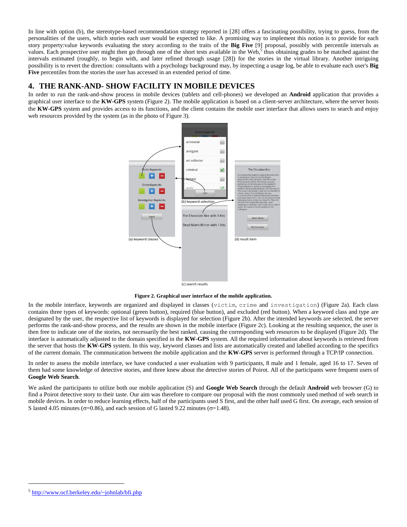In line with option (b), the stereotype-based recommendation strategy reported in [\[28\]](#page-10-6) offers a fascinating possibility, trying to guess, from the personalities of the users, which stories each user would be expected to like. A promising way to implement this notion is to provide for each story property:value keywords evaluating the story according to the traits of the **Big Five** [\[9\]](#page-9-7) proposal, possibly with percentile intervals as values. Each prospective user might then go through one of the short tests available in the Web,  $\frac{1}{5}$  thus obtaining grades to be matched against the intervals estimated (roughly, to begin with, and later refined through usage [\[28\]\)](#page-10-6) for the stories in the virtual library. Another intriguing possibility is to revert the direction: consultants with a psychology background may, by inspecting a usage log, be able to evaluate each user's **Big**  Five percentiles from the stories the user has accessed in an extended period of time.

# **4. THE RANK-AND- SHOW FACILITY IN MOBILE DEVICES**

In order to run the rank-and-show process in mobile devices (tablets and cell-phones) we developed an **Android** application that provides a graphical user interface to the **KW-GPS** system (Figure 2). The mobile application is based on a client-server architecture, where the server hosts the **KW-GPS** system and provides access to its functions, and the client contains the mobile user interface that allows users to search and enjoy web resources provided by the system (as in the photo of Figure 3).



**Figure 2. Graphical user interface of the mobile application.**

In the mobile interface, keywords are organized and displayed in classes (victim, crime and investigation) (Figure 2a). Each class contains three types of keywords: optional (green button), required (blue button), and excluded (red button). When a keyword class and type are designated by the user, the respective list of keywords is displayed for selection (Figure 2b). After the intended keywords are selected, the server performs the rank-and-show process, and the results are shown in the mobile interface (Figure 2c). Looking at the resulting sequence, the user is then free to indicate one of the stories, not necessarily the best ranked, causing the corresponding web resources to be displayed (Figure 2d). The interface is automatically adjusted to the domain specified in the **KW-GPS** system. All the required information about keywords is retrieved from the server that hosts the **KW-GPS** system. In this way, keyword classes and lists are automatically created and labelled according to the specifics of the current domain. The communication between the mobile application and the **KW-GPS** server is performed through a TCP/IP connection.

In order to assess the mobile interface, we have conducted a user evaluation with 9 participants, 8 male and 1 female, aged 16 to 17. Seven of them had some knowledge of detective stories, and three knew about the detective stories of Poirot. All of the participants were frequent users of **Google Web Search**.

We asked the participants to utilize both our mobile application (S) and **Google Web Search** through the default **Android** web browser (G) to find a Poirot detective story to their taste. Our aim was therefore to compare our proposal with the most commonly used method of web search in mobile devices. In order to reduce learning effects, half of the participants used S first, and the other half used G first. On average, each session of S lasted 4.05 minutes ( $\sigma$ =0.86), and each session of G lasted 9.22 minutes ( $\sigma$ =1.48).

 $\overline{a}$ 

<sup>&</sup>lt;sup>5</sup> <http://www.ocf.berkeley.edu/~johnlab/bfi.php>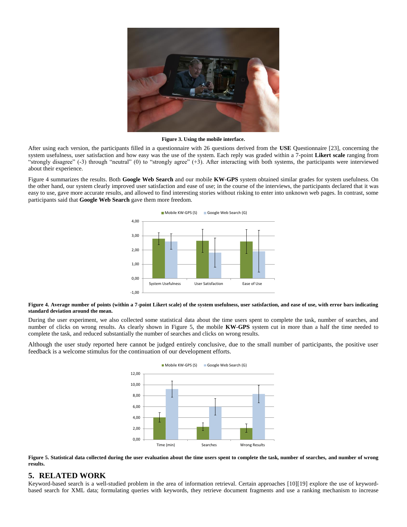

**Figure 3. Using the mobile interface.**

After using each version, the participants filled in a questionnaire with 26 questions derived from the **USE** Questionnaire [\[23\],](#page-10-7) concerning the system usefulness, user satisfaction and how easy was the use of the system. Each reply was graded within a 7-point **Likert scale** ranging from "strongly disagree" (-3) through "neutral" (0) to "strongly agree" (+3). After interacting with both systems, the participants were interviewed about their experience.

Figure 4 summarizes the results. Both **Google Web Search** and our mobile **KW-GPS** system obtained similar grades for system usefulness. On the other hand, our system clearly improved user satisfaction and ease of use; in the course of the interviews, the participants declared that it was easy to use, gave more accurate results, and allowed to find interesting stories without risking to enter into unknown web pages. In contrast, some participants said that **Google Web Search** gave them more freedom.



#### **Figure 4. Average number of points (within a 7-point Likert scale) of the system usefulness, user satisfaction, and ease of use, with error bars indicating standard deviation around the mean.**

During the user experiment, we also collected some statistical data about the time users spent to complete the task, number of searches, and number of clicks on wrong results. As clearly shown in Figure 5, the mobile **KW-GPS** system cut in more than a half the time needed to complete the task, and reduced substantially the number of searches and clicks on wrong results.

Although the user study reported here cannot be judged entirely conclusive, due to the small number of participants, the positive user feedback is a welcome stimulus for the continuation of our development efforts.



**Figure 5. Statistical data collected during the user evaluation about the time users spent to complete the task, number of searches, and number of wrong results.**

## **5. RELATED WORK**

Keyword-based search is a well-studied problem in the area of information retrieval. Certain approaches [\[10\]\[19\]](#page-9-8) explore the use of keywordbased search for XML data; formulating queries with keywords, they retrieve document fragments and use a ranking mechanism to increase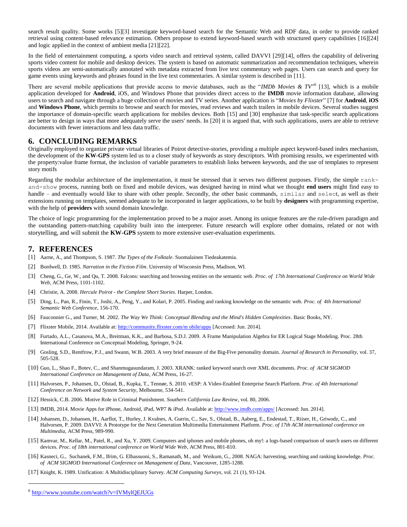search result quality. Some works [\[5\]\[3\]](#page-9-9) investigate keyword-based search for the Semantic Web and RDF data, in order to provide ranked retrieval using content-based relevance estimation. Others propose to extend keyword-based search with structured query capabilities [\[16\]\[24\]](#page-9-10) and logic applied in the context of ambient media [\[21\]\[22\].](#page-10-8)

In the field of entertainment computing, a sports video search and retrieval system, called DAVVI [\[29\]\[14\],](#page-10-9) offers the capability of delivering sports video content for mobile and desktop devices. The system is based on automatic summarization and recommendation techniques, wherein sports videos are semi-automatically annotated with metadata extracted from live text commentary web pages. Users can search and query for game events using keywords and phrases found in the live text commentaries. A similar system is described in [\[11\].](#page-9-11)

There are several mobile applications that provide access to movie databases, such as the "*IMDb Movies & TV*<sup>"6</sup> [\[13\],](#page-9-12) which is a mobile application developed for **Android**, iOS, and Windows Phone that provides direct access to the **IMDB** movie information database, allowing users to search and navigate through a huge collection of movies and TV series. Another application is "*Movies by Flixster*[" \[7\]](#page-9-13) for **Android**, **iOS** and **Windows Phone**, which permits to browse and search for movies, read reviews and watch trailers in mobile devices. Several studies suggest the importance of domain-specific search applications for mobiles devices. Both [\[15\]](#page-9-14) and [\[30\]](#page-10-10) emphasize that task-specific search applications are better to design in ways that more adequately serve the users' needs. In [\[20\]](#page-10-11) it is argued that, with such applications, users are able to retrieve documents with fewer interactions and less data traffic.

## **6. CONCLUDING REMARKS**

Originally employed to organize private virtual libraries of Poirot detective-stories, providing a multiple aspect keyword-based index mechanism, the development of the **KW-GPS** system led us to a closer study of keywords as story descriptors. With promising results, we experimented with the property:value frame format, the inclusion of variable parameters to establish links between keywords, and the use of templates to represent story motifs

Regarding the modular architecture of the implementation, it must be stressed that it serves two different purposes. Firstly, the simple rankand-show process, running both on fixed and mobile devices, was designed having in mind what we thought **end users** might find easy to handle – and eventually would like to share with other people. Secondly, the other basic commands, similar and select, as well as their extensions running on templates, seemed adequate to be incorporated in larger applications, to be built by **designers** with programming expertise, with the help of **providers** with sound domain knowledge.

The choice of logic programming for the implementation proved to be a major asset. Among its unique features are the rule-driven paradigm and the outstanding pattern-matching capability built into the interpreter. Future research will explore other domains, related or not with storytelling, and will submit the **KW-GPS** system to more extensive user-evaluation experiments.

# **7. REFERENCES**

- <span id="page-9-4"></span>[1] Aarne, A., and Thompson, S. 1987. *The Types of the Folktale*. Suomalainen Tiedeakatemia.
- <span id="page-9-5"></span>[2] Bordwell, D. 1985. *Narration in the Fiction Film*. University of Wisconsin Press, Madison, WI.
- [3] Cheng, G., Ge, W., and Qu, T. 2008. Falcons: searching and browsing entities on the semantic web. *Proc. of 17th International Conference on World Wide Web*, ACM Press, 1101-1102.
- <span id="page-9-0"></span>[4] Christie, A. 2008. *Hercule Poirot - the Complete Short Stories*. Harper, London.
- <span id="page-9-9"></span>[5] Ding, L., Pan, R., Finin, T., Joshi, A., Peng, Y., and Kolari, P. 2005. Finding and ranking knowledge on the semantic web. *Proc. of 4th International Semantic Web Conference*, 156-170.
- <span id="page-9-3"></span>[6] Fauconnier G., and Turner, M. 2002. *The Way We Think: Conceptual Blending and the Mind's Hidden Complexities*. Basic Books, NY.
- <span id="page-9-13"></span>[7] Flixster Mobile, 2014. Available at[: http://community.flixster.com/m obile/apps](http://community.flixster.com/m%20obile/apps) [Accessed: Jun. 2014].
- <span id="page-9-1"></span>[8] Furtado, A.L., Casanova, M.A., Breitman, K.K., and Barbosa, S.D.J. 2009. A Frame Manipulation Algebra for ER Logical Stage Modeling. Proc. 28th International Conference on Conceptual Modeling, Springer, 9-24.
- <span id="page-9-7"></span>[9] Gosling, S.D., Rentfrow, P.J., and Swann, W.B. 2003. A very brief measure of the Big-Five personality domain. *Journal of Research in Personality*, vol. 37, 505-528.
- <span id="page-9-8"></span>[10] Guo, L., Shao F., Botev, C., and Shanmugasundaram, J. 2003. XRANK: ranked keyword search over XML documents. *Proc. of ACM SIGMOD International Conference on Management of Data*, ACM Press, 16-27.
- <span id="page-9-11"></span>[11] Halvorsen, P., Johansen, D., Olstad, B., Kupka, T., Tennøe, S. 2010. vESP: A Video-Enabled Enterprise Search Platform. *Proc. of 4th International Conference on Network and System Security*, Melbourne, 534-541.
- <span id="page-9-6"></span>[12] Hessick, C.B. 2006. Motive Role in Criminal Punishment. *Southern California Law Review*, vol. 80, 2006.
- <span id="page-9-12"></span>[13] IMDB, 2014. Movie Apps for iPhone, Android, iPad, WP7 & iPod. Available at:<http://www.imdb.com/apps/> [Accessed: Jun. 2014].
- [14] Johansen, D., Johansen, H., Aarflot, T., Hurley, J. Kvalnes, A. Gurrin, C., Sav, S., Olstad, B., Aaberg, E., Endestad, T., Riiser, H., Griwodz, C., and Halvorsen, P. 2009. DAVVI: A Prototype for the Next Generation Multimedia Entertainment Platform. *Proc. of 17th ACM international conference on Multimedia*, ACM Press, 989-990.
- <span id="page-9-14"></span>[15] Kamvar, M., Kellar, M., Patel, R., and Xu, Y. 2009. Computers and iphones and mobile phones, oh my!: a logs-based comparison of search users on different devices. *Proc. of 18th international conference on World Wide Web*, ACM Press, 801-810.
- <span id="page-9-10"></span>[16] Kasneci, G., Suchanek, F.M., Ifrim, G. Elbassuoni, S., Ramanath, M., and Weikum, G., 2008. NAGA: harvesting, searching and ranking knowledge. *Proc. of ACM SIGMOD International Conference on Management of Data*, Vancouver, 1285-1288.
- <span id="page-9-2"></span>[17] Knight, K. 1989. Unification: A Multidisciplinary Survey. *ACM Computing Surveys*, vol. 21 (1), 93-124.

 $\overline{a}$ 

<sup>&</sup>lt;sup>6</sup> <http://www.youtube.com/watch?v=IVMylQEJUGs>